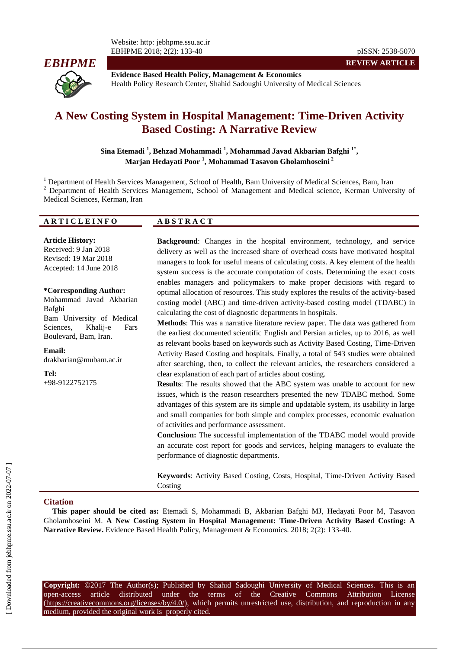

**Evidence Based Health Policy, Management & Economics** Health Policy Research Center, Shahid Sadoughi University of Medical Sciences

# **A New Costing System in Hospital Management: Time-Driven Activity Based Costing: A Narrative Review**

**Sina Etemadi <sup>1</sup> , Behzad Mohammadi <sup>1</sup> , Mohammad Javad Akbarian Bafghi 1\* , Marjan Hedayati Poor <sup>1</sup> , Mohammad Tasavon Gholamhoseini <sup>2</sup>**

<sup>1</sup> Department of Health Services Management, School of Health, Bam University of Medical Sciences, Bam, Iran <sup>2</sup> Department of Health Services Management, School of Management and Medical science, Kerman University of Medical Sciences, Kerman, Iran

#### **A R T I C L E I N F O A B S T R A C T**

**Article History:** Received: 9 Jan 2018 Revised: 19 Mar 2018 Accepted: 14 June 2018

**\*Corresponding Author:** Mohammad Javad Akbarian Bafghi Bam University of Medical Sciences, Khalij-e Fars Boulevard, Bam, Iran.

**Email:** drakbarian@mubam.ac.ir

**Tel:** +98-9122752175 **Background**: Changes in the hospital environment, technology, and service delivery as well as the increased share of overhead costs have motivated hospital managers to look for useful means of calculating costs. A key element of the health system success is the accurate computation of costs. Determining the exact costs enables managers and policymakers to make proper decisions with regard to optimal allocation of resources. This study explores the results of the activity-based costing model (ABC) and time-driven activity-based costing model (TDABC) in calculating the cost of diagnostic departments in hospitals.

**REVIEW ARTICLE**

**Methods**: This was a narrative literature review paper. The data was gathered from the earliest documented scientific English and Persian articles, up to 2016, as well as relevant books based on keywords such as Activity Based Costing, Time-Driven Activity Based Costing and hospitals. Finally, a total of 543 studies were obtained after searching, then, to collect the relevant articles, the researchers considered a clear explanation of each part of articles about costing.

**Results**: The results showed that the ABC system was unable to account for new issues, which is the reason researchers presented the new TDABC method. Some advantages of this system are its simple and updatable system, its usability in large and small companies for both simple and complex processes, economic evaluation of activities and performance assessment.

**Conclusion:** The successful implementation of the TDABC model would provide an accurate cost report for goods and services, helping managers to evaluate the performance of diagnostic departments.

**Keywords**: Activity Based Costing, Costs, Hospital, Time-Driven Activity Based Costing

#### **Citation**

**This paper should be cited as:** Etemadi S, Mohammadi B, Akbarian Bafghi MJ, Hedayati Poor M, Tasavon Gholamhoseini M. **A New Costing System in Hospital Management: Time-Driven Activity Based Costing: A Narrative Review.** Evidence Based Health Policy, Management & Economics. 2018; 2(2): 133-40.

**Copyright:** ©2017 The Author(s); Published by Shahid Sadoughi University of Medical Sciences. This is an open-access article distributed under the terms of the Creative Commons Attribution License (https://creativecommons.org/licenses/by/4.0/), which permits unrestricted use, distribution, and reproduction in any medium, provided the original work is properly cited.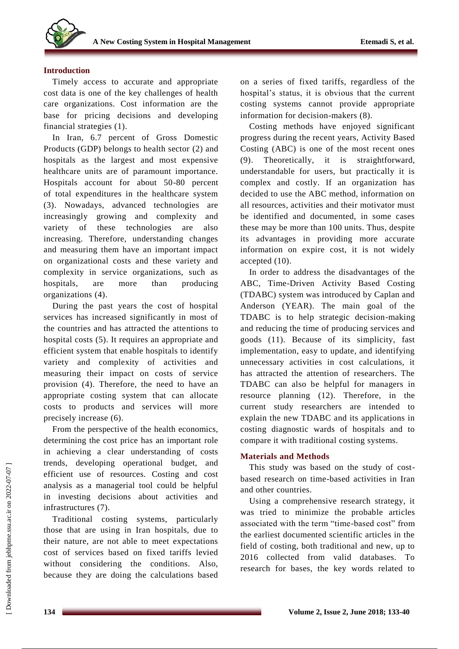

#### **Introduction**

Timely access to accurate and appropriate cost data is one of the key challenges of health care organizations. Cost information are the base for pricing decisions and developing financial strategies (1).

In Iran, 6.7 percent of Gross Domestic Products (GDP) belongs to health sector (2) and hospitals as the largest and most expensive healthcare units are of paramount importance. Hospitals account for about 50-80 percent of total expenditures in the healthcare system (3). Nowadays, advanced technologies are increasingly growing and complexity and variety of these technologies are also increasing. Therefore, understanding changes and measuring them have an important impact on organizational costs and these variety and complexity in service organizations, such as hospitals, are more than producing organizations (4).

During the past years the cost of hospital services has increased significantly in most of the countries and has attracted the attentions to hospital costs (5). It requires an appropriate and efficient system that enable hospitals to identify variety and complexity of activities and measuring their impact on costs of service provision (4). Therefore, the need to have an appropriate costing system that can allocate costs to products and services will more precisely increase (6).

From the perspective of the health economics, determining the cost price has an important role in achieving a clear understanding of costs trends, developing operational budget, and efficient use of resources. Costing and cost analysis as a managerial tool could be helpful in investing decisions about activities and infrastructures (7).

Traditional costing systems, particularly those that are using in Iran hospitals, due to their nature, are not able to meet expectations cost of services based on fixed tariffs levied without considering the conditions. Also, because they are doing the calculations based

on a series of fixed tariffs, regardless of the hospital's status, it is obvious that the current costing systems cannot provide appropriate information for decision-makers (8).

Costing methods have enjoyed significant progress during the recent years, Activity Based Costing (ABC) is one of the most recent ones (9). Theoretically, it is straightforward, understandable for users, but practically it is complex and costly. If an organization has decided to use the ABC method, information on all resources, activities and their motivator must be identified and documented, in some cases these may be more than 100 units. Thus, despite its advantages in providing more accurate information on expire cost, it is not widely accepted (10).

In order to address the disadvantages of the ABC, Time-Driven Activity Based Costing (TDABC) system was introduced by Caplan and Anderson (YEAR). The main goal of the TDABC is to help strategic decision-making and reducing the time of producing services and goods (11). Because of its simplicity, fast implementation, easy to update, and identifying unnecessary activities in cost calculations, it has attracted the attention of researchers. The TDABC can also be helpful for managers in resource planning (12). Therefore, in the current study researchers are intended to explain the new TDABC and its applications in costing diagnostic wards of hospitals and to compare it with traditional costing systems.

## **Materials and Methods**

This study was based on the study of costbased research on time-based activities in Iran and other countries.

Using a comprehensive research strategy, it was tried to minimize the probable articles associated with the term "time-based cost" from the earliest documented scientific articles in the field of costing, both traditional and new, up to 2016 collected from valid databases. To research for bases, the key words related to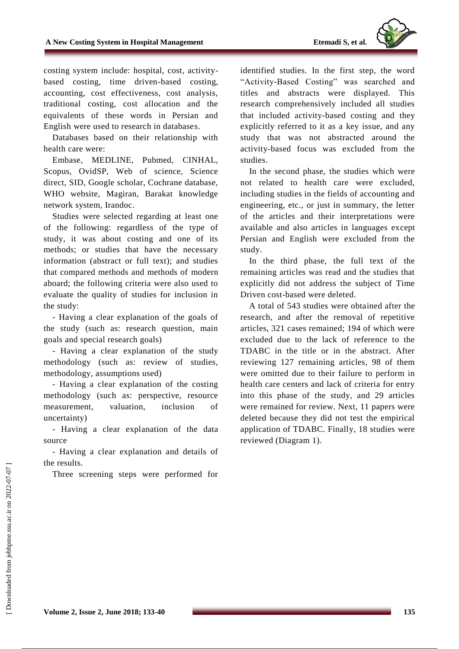

costing system include: hospital, cost, activitybased costing, time driven-based costing, accounting, cost effectiveness, cost analysis, traditional costing, cost allocation and the equivalents of these words in Persian and English were used to research in databases.

Databases based on their relationship with health care were:

Embase, MEDLINE, Pubmed, CINHAL, Scopus, OvidSP, Web of science, Science direct, SID, Google scholar, Cochrane database, WHO website, Magiran, Barakat knowledge network system, Irandoc.

Studies were selected regarding at least one of the following: regardless of the type of study, it was about costing and one of its methods; or studies that have the necessary information (abstract or full text); and studies that compared methods and methods of modern aboard; the following criteria were also used to evaluate the quality of studies for inclusion in the study:

- Having a clear explanation of the goals of the study (such as: research question, main goals and special research goals)

- Having a clear explanation of the study methodology (such as: review of studies, methodology, assumptions used)

- Having a clear explanation of the costing methodology (such as: perspective, resource measurement, valuation, inclusion of uncertainty)

- Having a clear explanation of the data source

- Having a clear explanation and details of the results.

Three screening steps were performed for

identified studies. In the first step, the word "Activity-Based Costing" was searched and titles and abstracts were displayed. This research comprehensively included all studies that included activity-based costing and they explicitly referred to it as a key issue, and any study that was not abstracted around the activity-based focus was excluded from the studies.

In the second phase, the studies which were not related to health care were excluded, including studies in the fields of accounting and engineering, etc., or just in summary, the letter of the articles and their interpretations were available and also articles in languages except Persian and English were excluded from the study.

In the third phase, the full text of the remaining articles was read and the studies that explicitly did not address the subject of Time Driven cost-based were deleted.

A total of 543 studies were obtained after the research, and after the removal of repetitive articles, 321 cases remained; 194 of which were excluded due to the lack of reference to the TDABC in the title or in the abstract. After reviewing 127 remaining articles, 98 of them were omitted due to their failure to perform in health care centers and lack of criteria for entry into this phase of the study, and 29 articles were remained for review. Next, 11 papers were deleted because they did not test the empirical application of TDABC. Finally, 18 studies were reviewed (Diagram 1).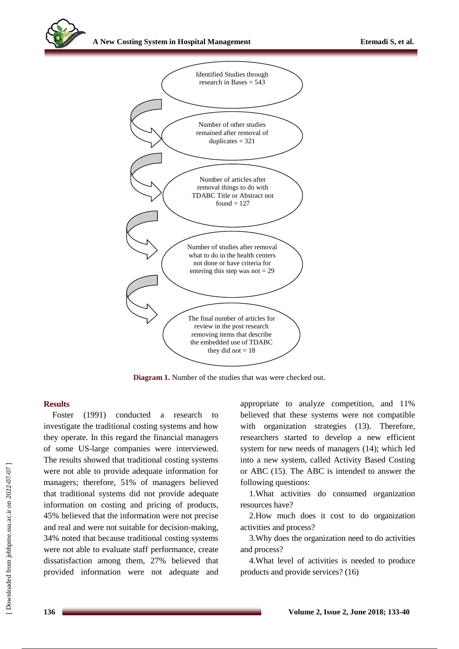

**Diagram 1.** Number of the studies that was were checked out.

## **Results**

Foster (1991) conducted a research to investigate the traditional costing systems and how they operate. In this regard the financial managers of some US-large companies were interviewed. The results showed that traditional costing systems were not able to provide adequate information for managers; therefore, 51% of managers believed that traditional systems did not provide adequate information on costing and pricing of products, 45% believed that the information were not precise and real and were not suitable for decision-making, 34% noted that because traditional costing systems were not able to evaluate staff performance, create dissatisfaction among them, 27% believed that provided information were not adequate and appropriate to analyze competition, and 11% believed that these systems were not compatible with organization strategies (13). Therefore, researchers started to develop a new efficient system for new needs of managers (14); which led into a new system, called Activity Based Costing or ABC (15). The ABC is intended to answer the following questions:

1.What activities do consumed organization resources have?

2.How much does it cost to do organization activities and process?

3.Why does the organization need to do activities and process?

4.What level of activities is needed to produce products and provide services? (16)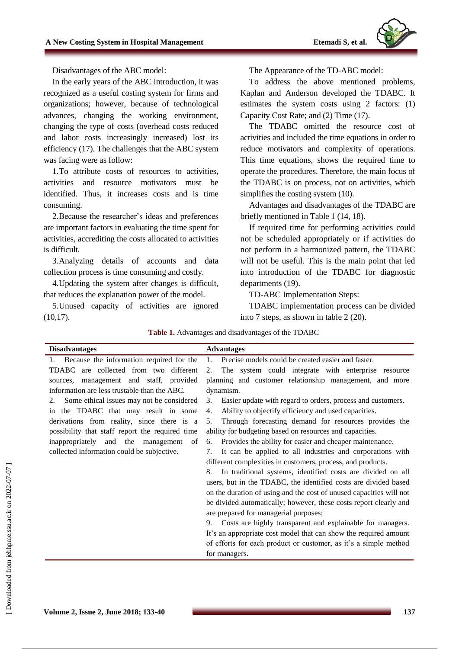

Disadvantages of the ABC model:

In the early years of the ABC introduction, it was recognized as a useful costing system for firms and organizations; however, because of technological advances, changing the working environment, changing the type of costs (overhead costs reduced and labor costs increasingly increased) lost its efficiency (17). The challenges that the ABC system was facing were as follow:

1.To attribute costs of resources to activities, activities and resource motivators must be identified. Thus, it increases costs and is time consuming.

2.Because the researcher's ideas and preferences are important factors in evaluating the time spent for activities, accrediting the costs allocated to activities is difficult.

3.Analyzing details of accounts and data collection process is time consuming and costly.

4.Updating the system after changes is difficult, that reduces the explanation power of the model.

5.Unused capacity of activities are ignored  $(10,17)$ .

The Appearance of the TD-ABC model:

To address the above mentioned problems, Kaplan and Anderson developed the TDABC. It estimates the system costs using 2 factors: (1) Capacity Cost Rate; and (2) Time (17).

The TDABC omitted the resource cost of activities and included the time equations in order to reduce motivators and complexity of operations. This time equations, shows the required time to operate the procedures. Therefore, the main focus of the TDABC is on process, not on activities, which simplifies the costing system (10).

Advantages and disadvantages of the TDABC are briefly mentioned in Table 1 (14, 18).

If required time for performing activities could not be scheduled appropriately or if activities do not perform in a harmonized pattern, the TDABC will not be useful. This is the main point that led into introduction of the TDABC for diagnostic departments (19).

TD-ABC Implementation Steps:

TDABC implementation process can be divided into 7 steps, as shown in table 2 (20).

| Table 1. Advantages and disadvantages of the TDABC |  |
|----------------------------------------------------|--|
|                                                    |  |

| <b>Disadvantages</b>                            | <b>Advantages</b>                                                   |  |  |
|-------------------------------------------------|---------------------------------------------------------------------|--|--|
| 1. Because the information required for the     | Precise models could be created easier and faster.<br>1.            |  |  |
| TDABC are collected from two different          | The system could integrate with enterprise resource<br>2.           |  |  |
| management and staff, provided<br>sources,      | planning and customer relationship management, and more             |  |  |
| information are less trustable than the ABC.    | dynamism.                                                           |  |  |
| Some ethical issues may not be considered<br>2. | Easier update with regard to orders, process and customers.<br>3.   |  |  |
| in the TDABC that may result in some            | Ability to objectify efficiency and used capacities.<br>4.          |  |  |
| derivations from reality, since there is a      | Through forecasting demand for resources provides the<br>5.         |  |  |
| possibility that staff report the required time | ability for budgeting based on resources and capacities.            |  |  |
| inappropriately<br>and the management<br>of     | Provides the ability for easier and cheaper maintenance.<br>6.      |  |  |
| collected information could be subjective.      | It can be applied to all industries and corporations with<br>7.     |  |  |
|                                                 | different complexities in customers, process, and products.         |  |  |
|                                                 | In traditional systems, identified costs are divided on all<br>8.   |  |  |
|                                                 | users, but in the TDABC, the identified costs are divided based     |  |  |
|                                                 | on the duration of using and the cost of unused capacities will not |  |  |
|                                                 | be divided automatically; however, these costs report clearly and   |  |  |
|                                                 | are prepared for managerial purposes;                               |  |  |
|                                                 | Costs are highly transparent and explainable for managers.<br>9.    |  |  |
|                                                 | It's an appropriate cost model that can show the required amount    |  |  |
|                                                 | of efforts for each product or customer, as it's a simple method    |  |  |
|                                                 | for managers.                                                       |  |  |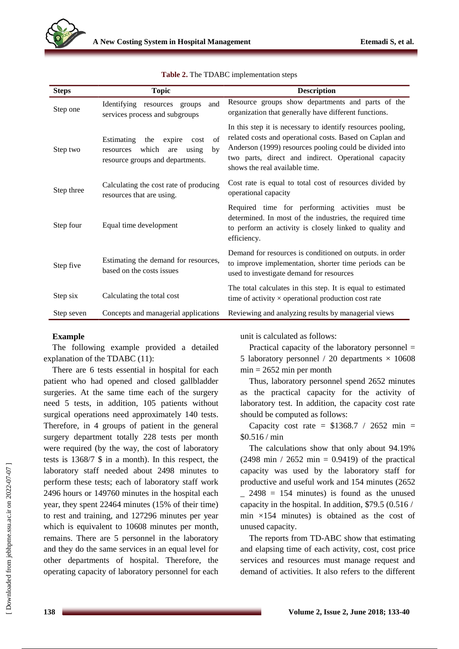

| <b>Steps</b> | <b>Topic</b>                                                                                                              | <b>Description</b>                                                                                                                                                                                                                                                           |
|--------------|---------------------------------------------------------------------------------------------------------------------------|------------------------------------------------------------------------------------------------------------------------------------------------------------------------------------------------------------------------------------------------------------------------------|
| Step one     | and<br>Identifying<br>resources<br>groups<br>services process and subgroups                                               | Resource groups show departments and parts of the<br>organization that generally have different functions.                                                                                                                                                                   |
| Step two     | of<br>Estimating<br>expire<br>the<br>cost<br>which<br>by<br>using<br>are<br>resources<br>resource groups and departments. | In this step it is necessary to identify resources pooling,<br>related costs and operational costs. Based on Caplan and<br>Anderson (1999) resources pooling could be divided into<br>two parts, direct and indirect. Operational capacity<br>shows the real available time. |
| Step three   | Calculating the cost rate of producing<br>resources that are using.                                                       | Cost rate is equal to total cost of resources divided by<br>operational capacity                                                                                                                                                                                             |
| Step four    | Equal time development                                                                                                    | Required time for performing activities must be<br>determined. In most of the industries, the required time<br>to perform an activity is closely linked to quality and<br>efficiency.                                                                                        |
| Step five    | Estimating the demand for resources,<br>based on the costs issues                                                         | Demand for resources is conditioned on outputs. in order<br>to improve implementation, shorter time periods can be<br>used to investigate demand for resources                                                                                                               |
| Step six     | Calculating the total cost                                                                                                | The total calculates in this step. It is equal to estimated<br>time of activity $\times$ operational production cost rate                                                                                                                                                    |
| Step seven   | Concepts and managerial applications                                                                                      | Reviewing and analyzing results by managerial views                                                                                                                                                                                                                          |

|  |  |  | Table 2. The TDABC implementation steps |  |
|--|--|--|-----------------------------------------|--|
|--|--|--|-----------------------------------------|--|

## **Example**

The following example provided a detailed explanation of the TDABC (11):

There are 6 tests essential in hospital for each patient who had opened and closed gallbladder surgeries. At the same time each of the surgery need 5 tests, in addition, 105 patients without surgical operations need approximately 140 tests. Therefore, in 4 groups of patient in the general surgery department totally 228 tests per month were required (by the way, the cost of laboratory tests is 1368/7 \$ in a month). In this respect, the laboratory staff needed about 2498 minutes to perform these tests; each of laboratory staff work 2496 hours or 149760 minutes in the hospital each year, they spent 22464 minutes (15% of their time) to rest and training, and 127296 minutes per year which is equivalent to 10608 minutes per month, remains. There are 5 personnel in the laboratory and they do the same services in an equal level for other departments of hospital. Therefore, the operating capacity of laboratory personnel for each unit is calculated as follows:

Practical capacity of the laboratory personnel = 5 laboratory personnel / 20 departments  $\times$  10608  $min = 2652$  min per month

Thus, laboratory personnel spend 2652 minutes as the practical capacity for the activity of laboratory test. In addition, the capacity cost rate should be computed as follows:

Capacity cost rate =  $$1368.7 / 2652$  min = \$0.516 / min

The calculations show that only about 94.19% (2498 min / 2652 min =  $0.9419$ ) of the practical capacity was used by the laboratory staff for productive and useful work and 154 minutes (2652  $\frac{2498}{ }$  = 154 minutes) is found as the unused capacity in the hospital. In addition, \$79.5 (0.516 / min  $\times$ 154 minutes) is obtained as the cost of unused capacity.

The reports from TD-ABC show that estimating and elapsing time of each activity, cost, cost price services and resources must manage request and demand of activities. It also refers to the different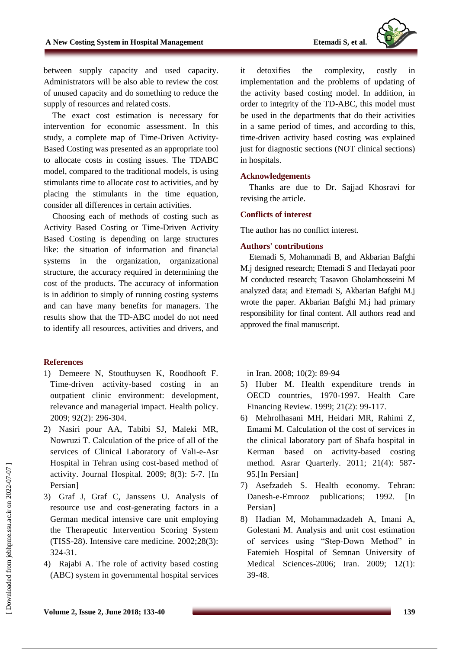

between supply capacity and used capacity. Administrators will be also able to review the cost of unused capacity and do something to reduce the supply of resources and related costs.

The exact cost estimation is necessary for intervention for economic assessment. In this study, a complete map of Time-Driven Activity-Based Costing was presented as an appropriate tool to allocate costs in costing issues. The TDABC model, compared to the traditional models, is using stimulants time to allocate cost to activities, and by placing the stimulants in the time equation, consider all differences in certain activities.

Choosing each of methods of costing such as Activity Based Costing or Time-Driven Activity Based Costing is depending on large structures like: the situation of information and financial systems in the organization, organizational structure, the accuracy required in determining the cost of the products. The accuracy of information is in addition to simply of running costing systems and can have many benefits for managers. The results show that the TD-ABC model do not need to identify all resources, activities and drivers, and

## **References**

- 1) Demeere N, Stouthuysen K, Roodhooft F. Time-driven activity-based costing in an outpatient clinic environment: development, relevance and managerial impact. Health policy. 2009; 92(2): 296-304.
- 2) Nasiri pour AA, Tabibi SJ, Maleki MR, Nowruzi T. Calculation of the price of all of the services of Clinical Laboratory of Vali-e-Asr Hospital in Tehran using cost-based method of activity. Journal Hospital. 2009; 8(3): 5-7. [In Persian]
- 3) Graf J, Graf C, Janssens U. Analysis of resource use and cost-generating factors in a German medical intensive care unit employing the Therapeutic Intervention Scoring System (TISS-28). Intensive care medicine. 2002;28(3): 324-31.
- 4) Rajabi A. The role of activity based costing (ABC) system in governmental hospital services

it detoxifies the complexity, costly in implementation and the problems of updating of the activity based costing model. In addition, in order to integrity of the TD-ABC, this model must be used in the departments that do their activities in a same period of times, and according to this, time-driven activity based costing was explained just for diagnostic sections (NOT clinical sections) in hospitals.

## **Acknowledgements**

Thanks are due to Dr. Sajjad Khosravi for revising the article.

## **Conflicts of interest**

The author has no conflict interest.

## **Authors' contributions**

Etemadi S, Mohammadi B, and Akbarian Bafghi M.j designed research; Etemadi S and Hedayati poor M conducted research; Tasavon Gholamhosseini M analyzed data; and Etemadi S, Akbarian Bafghi M.j wrote the paper. Akbarian Bafghi M.j had primary responsibility for final content. All authors read and approved the final manuscript.

in Iran. 2008; 10(2): 89-94

- 5) Huber M. Health expenditure trends in OECD countries, 1970-1997. Health Care Financing Review. 1999; 21(2): 99-117.
- 6) Mehrolhasani MH, Heidari MR, Rahimi Z, Emami M. Calculation of the cost of services in the clinical laboratory part of Shafa hospital in Kerman based on activity-based costing method. Asrar Quarterly. 2011; 21(4): 587- 95.[In Persian]
- 7) Asefzadeh S. Health economy. Tehran: Danesh-e-Emrooz publications; 1992. [In Persian]
- 8) Hadian M, Mohammadzadeh A, Imani A, Golestani M. Analysis and unit cost estimation of services using "Step-Down Method" in Fatemieh Hospital of Semnan University of Medical Sciences-2006; Iran. 2009; 12(1): 39-48.